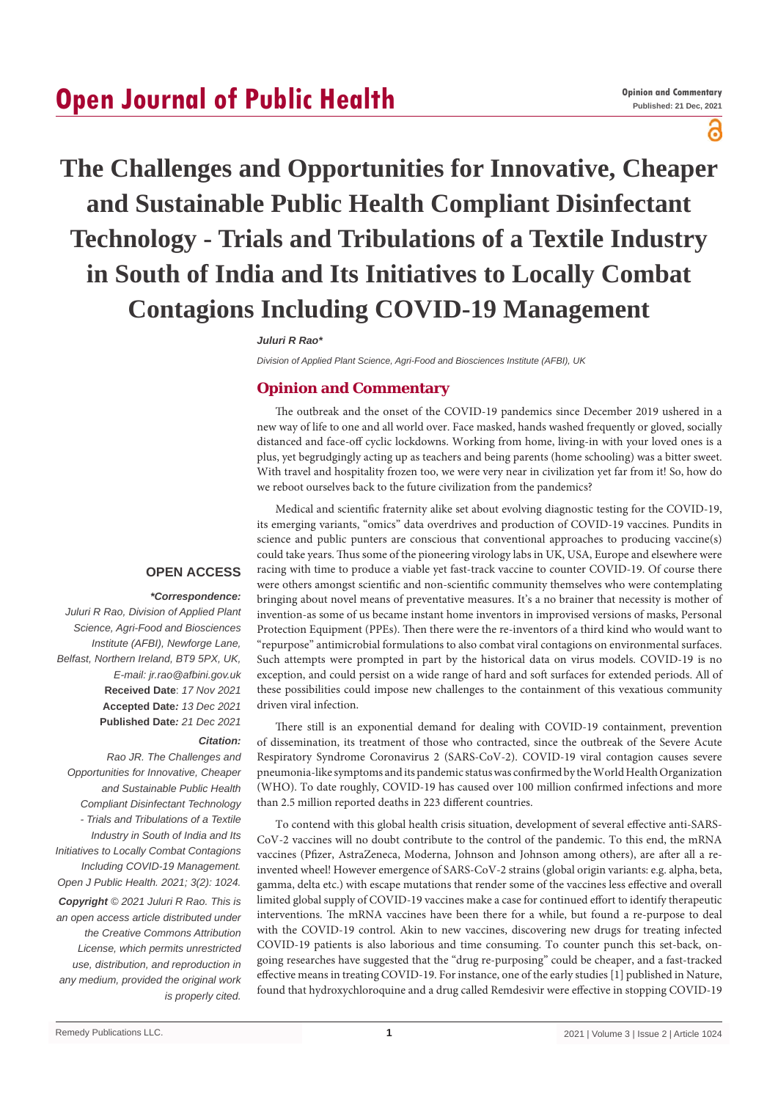## **Open Journal of Public Health**

### ႙

# **The Challenges and Opportunities for Innovative, Cheaper and Sustainable Public Health Compliant Disinfectant Technology - Trials and Tribulations of a Textile Industry in South of India and Its Initiatives to Locally Combat Contagions Including COVID-19 Management**

#### *Juluri R Rao\**

*Division of Applied Plant Science, Agri-Food and Biosciences Institute (AFBI), UK*

#### **Opinion and Commentary**

The outbreak and the onset of the COVID-19 pandemics since December 2019 ushered in a new way of life to one and all world over. Face masked, hands washed frequently or gloved, socially distanced and face-off cyclic lockdowns. Working from home, living-in with your loved ones is a plus, yet begrudgingly acting up as teachers and being parents (home schooling) was a bitter sweet. With travel and hospitality frozen too, we were very near in civilization yet far from it! So, how do we reboot ourselves back to the future civilization from the pandemics?

Medical and scientific fraternity alike set about evolving diagnostic testing for the COVID-19,

#### **OPEN ACCESS**

#### *\*Correspondence:*

*Juluri R Rao, Division of Applied Plant Science, Agri-Food and Biosciences Institute (AFBI), Newforge Lane, Belfast, Northern Ireland, BT9 5PX, UK, E-mail: jr.rao@afbini.gov.uk* **Received Date**: *17 Nov 2021* **Accepted Date***: 13 Dec 2021* **Published Date***: 21 Dec 2021*

#### *Citation:*

*Rao JR. The Challenges and Opportunities for Innovative, Cheaper and Sustainable Public Health Compliant Disinfectant Technology - Trials and Tribulations of a Textile Industry in South of India and Its Initiatives to Locally Combat Contagions Including COVID-19 Management. Open J Public Health. 2021; 3(2): 1024. Copyright © 2021 Juluri R Rao. This is an open access article distributed under the Creative Commons Attribution License, which permits unrestricted use, distribution, and reproduction in any medium, provided the original work is properly cited.*

its emerging variants, "omics" data overdrives and production of COVID-19 vaccines. Pundits in science and public punters are conscious that conventional approaches to producing vaccine(s) could take years. Thus some of the pioneering virology labs in UK, USA, Europe and elsewhere were racing with time to produce a viable yet fast-track vaccine to counter COVID-19. Of course there were others amongst scientific and non-scientific community themselves who were contemplating bringing about novel means of preventative measures. It's a no brainer that necessity is mother of invention-as some of us became instant home inventors in improvised versions of masks, Personal Protection Equipment (PPEs). Then there were the re-inventors of a third kind who would want to "repurpose" antimicrobial formulations to also combat viral contagions on environmental surfaces. Such attempts were prompted in part by the historical data on virus models. COVID-19 is no exception, and could persist on a wide range of hard and soft surfaces for extended periods. All of these possibilities could impose new challenges to the containment of this vexatious community driven viral infection.

There still is an exponential demand for dealing with COVID-19 containment, prevention of dissemination, its treatment of those who contracted, since the outbreak of the Severe Acute Respiratory Syndrome Coronavirus 2 (SARS-CoV-2). COVID-19 viral contagion causes severe pneumonia-like symptoms and its pandemic status was confirmed by the World Health Organization (WHO). To date roughly, COVID-19 has caused over 100 million confirmed infections and more than 2.5 million reported deaths in 223 different countries.

To contend with this global health crisis situation, development of several effective anti-SARS-CoV-2 vaccines will no doubt contribute to the control of the pandemic. To this end, the mRNA vaccines (Pfizer, AstraZeneca, Moderna, Johnson and Johnson among others), are after all a reinvented wheel! However emergence of SARS-CoV-2 strains (global origin variants: e.g. alpha, beta, gamma, delta etc.) with escape mutations that render some of the vaccines less effective and overall limited global supply of COVID-19 vaccines make a case for continued effort to identify therapeutic interventions. The mRNA vaccines have been there for a while, but found a re-purpose to deal with the COVID-19 control. Akin to new vaccines, discovering new drugs for treating infected COVID-19 patients is also laborious and time consuming. To counter punch this set-back, ongoing researches have suggested that the "drug re-purposing" could be cheaper, and a fast-tracked effective means in treating COVID-19. For instance, one of the early studies [1] published in Nature, found that hydroxychloroquine and a drug called Remdesivir were effective in stopping COVID-19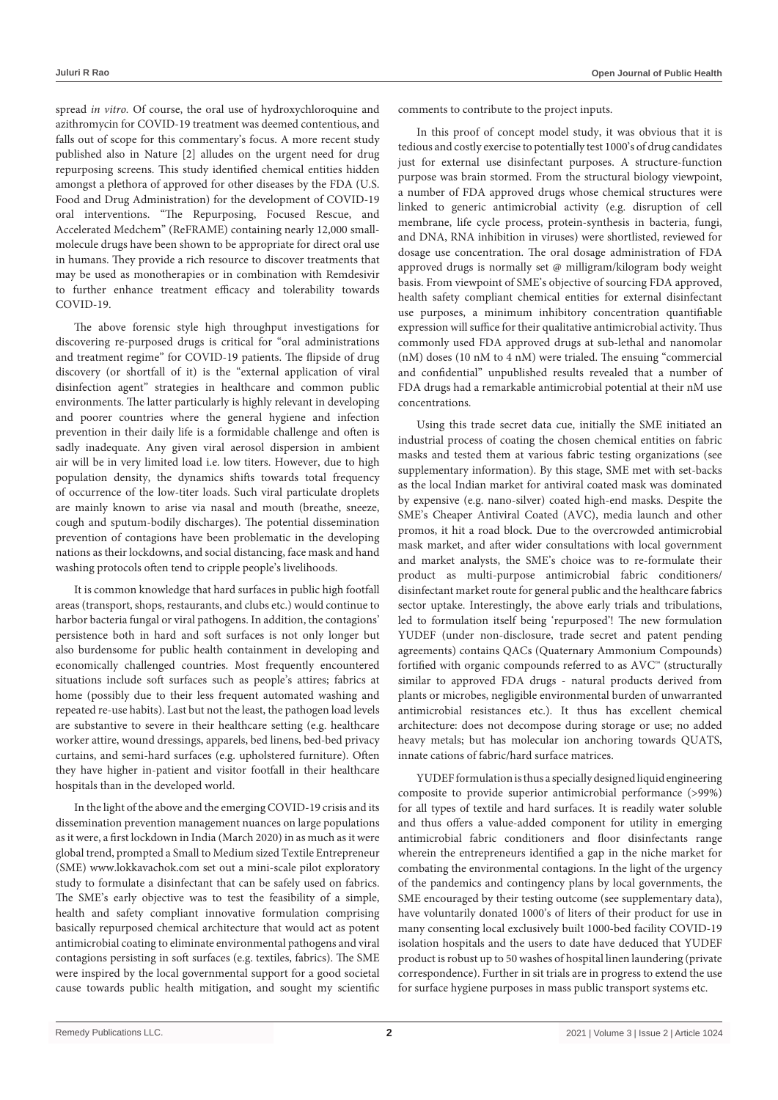spread *in vitro.* Of course, the oral use of hydroxychloroquine and azithromycin for COVID-19 treatment was deemed contentious, and falls out of scope for this commentary's focus. A more recent study published also in Nature [2] alludes on the urgent need for drug repurposing screens. This study identified chemical entities hidden amongst a plethora of approved for other diseases by the FDA (U.S. Food and Drug Administration) for the development of COVID-19 oral interventions. "The Repurposing, Focused Rescue, and Accelerated Medchem" (ReFRAME) containing nearly 12,000 smallmolecule drugs have been shown to be appropriate for direct oral use in humans. They provide a rich resource to discover treatments that may be used as monotherapies or in combination with Remdesivir to further enhance treatment efficacy and tolerability towards COVID-19.

The above forensic style high throughput investigations for discovering re-purposed drugs is critical for "oral administrations and treatment regime" for COVID-19 patients. The flipside of drug discovery (or shortfall of it) is the "external application of viral disinfection agent" strategies in healthcare and common public environments. The latter particularly is highly relevant in developing and poorer countries where the general hygiene and infection prevention in their daily life is a formidable challenge and often is sadly inadequate. Any given viral aerosol dispersion in ambient air will be in very limited load i.e. low titers. However, due to high population density, the dynamics shifts towards total frequency of occurrence of the low-titer loads. Such viral particulate droplets are mainly known to arise via nasal and mouth (breathe, sneeze, cough and sputum-bodily discharges). The potential dissemination prevention of contagions have been problematic in the developing nations as their lockdowns, and social distancing, face mask and hand washing protocols often tend to cripple people's livelihoods.

It is common knowledge that hard surfaces in public high footfall areas (transport, shops, restaurants, and clubs etc.) would continue to harbor bacteria fungal or viral pathogens. In addition, the contagions' persistence both in hard and soft surfaces is not only longer but also burdensome for public health containment in developing and economically challenged countries. Most frequently encountered situations include soft surfaces such as people's attires; fabrics at home (possibly due to their less frequent automated washing and repeated re-use habits). Last but not the least, the pathogen load levels are substantive to severe in their healthcare setting (e.g. healthcare worker attire, wound dressings, apparels, bed linens, bed-bed privacy curtains, and semi-hard surfaces (e.g. upholstered furniture). Often they have higher in-patient and visitor footfall in their healthcare hospitals than in the developed world.

In the light of the above and the emerging COVID-19 crisis and its dissemination prevention management nuances on large populations as it were, a first lockdown in India (March 2020) in as much as it were global trend, prompted a Small to Medium sized Textile Entrepreneur (SME) www.lokkavachok.com set out a mini-scale pilot exploratory study to formulate a disinfectant that can be safely used on fabrics. The SME's early objective was to test the feasibility of a simple, health and safety compliant innovative formulation comprising basically repurposed chemical architecture that would act as potent antimicrobial coating to eliminate environmental pathogens and viral contagions persisting in soft surfaces (e.g. textiles, fabrics). The SME were inspired by the local governmental support for a good societal cause towards public health mitigation, and sought my scientific comments to contribute to the project inputs.

In this proof of concept model study, it was obvious that it is tedious and costly exercise to potentially test 1000's of drug candidates just for external use disinfectant purposes. A structure-function purpose was brain stormed. From the structural biology viewpoint, a number of FDA approved drugs whose chemical structures were linked to generic antimicrobial activity (e.g. disruption of cell membrane, life cycle process, protein-synthesis in bacteria, fungi, and DNA, RNA inhibition in viruses) were shortlisted, reviewed for dosage use concentration. The oral dosage administration of FDA approved drugs is normally set @ milligram/kilogram body weight basis. From viewpoint of SME's objective of sourcing FDA approved, health safety compliant chemical entities for external disinfectant use purposes, a minimum inhibitory concentration quantifiable expression will suffice for their qualitative antimicrobial activity. Thus commonly used FDA approved drugs at sub-lethal and nanomolar (nM) doses (10 nM to 4 nM) were trialed. The ensuing "commercial and confidential" unpublished results revealed that a number of FDA drugs had a remarkable antimicrobial potential at their nM use concentrations.

Using this trade secret data cue, initially the SME initiated an industrial process of coating the chosen chemical entities on fabric masks and tested them at various fabric testing organizations (see supplementary information). By this stage, SME met with set-backs as the local Indian market for antiviral coated mask was dominated by expensive (e.g. nano-silver) coated high-end masks. Despite the SME's Cheaper Antiviral Coated (AVC), media launch and other promos, it hit a road block. Due to the overcrowded antimicrobial mask market, and after wider consultations with local government and market analysts, the SME's choice was to re-formulate their product as multi-purpose antimicrobial fabric conditioners/ disinfectant market route for general public and the healthcare fabrics sector uptake. Interestingly, the above early trials and tribulations, led to formulation itself being 'repurposed'! The new formulation YUDEF (under non-disclosure, trade secret and patent pending agreements) contains QACs (Quaternary Ammonium Compounds) fortified with organic compounds referred to as AVC™ (structurally similar to approved FDA drugs - natural products derived from plants or microbes, negligible environmental burden of unwarranted antimicrobial resistances etc.). It thus has excellent chemical architecture: does not decompose during storage or use; no added heavy metals; but has molecular ion anchoring towards QUATS, innate cations of fabric/hard surface matrices.

YUDEF formulation is thus a specially designed liquid engineering composite to provide superior antimicrobial performance (>99%) for all types of textile and hard surfaces. It is readily water soluble and thus offers a value-added component for utility in emerging antimicrobial fabric conditioners and floor disinfectants range wherein the entrepreneurs identified a gap in the niche market for combating the environmental contagions. In the light of the urgency of the pandemics and contingency plans by local governments, the SME encouraged by their testing outcome (see supplementary data), have voluntarily donated 1000's of liters of their product for use in many consenting local exclusively built 1000-bed facility COVID-19 isolation hospitals and the users to date have deduced that YUDEF product is robust up to 50 washes of hospital linen laundering (private correspondence). Further in sit trials are in progress to extend the use for surface hygiene purposes in mass public transport systems etc.